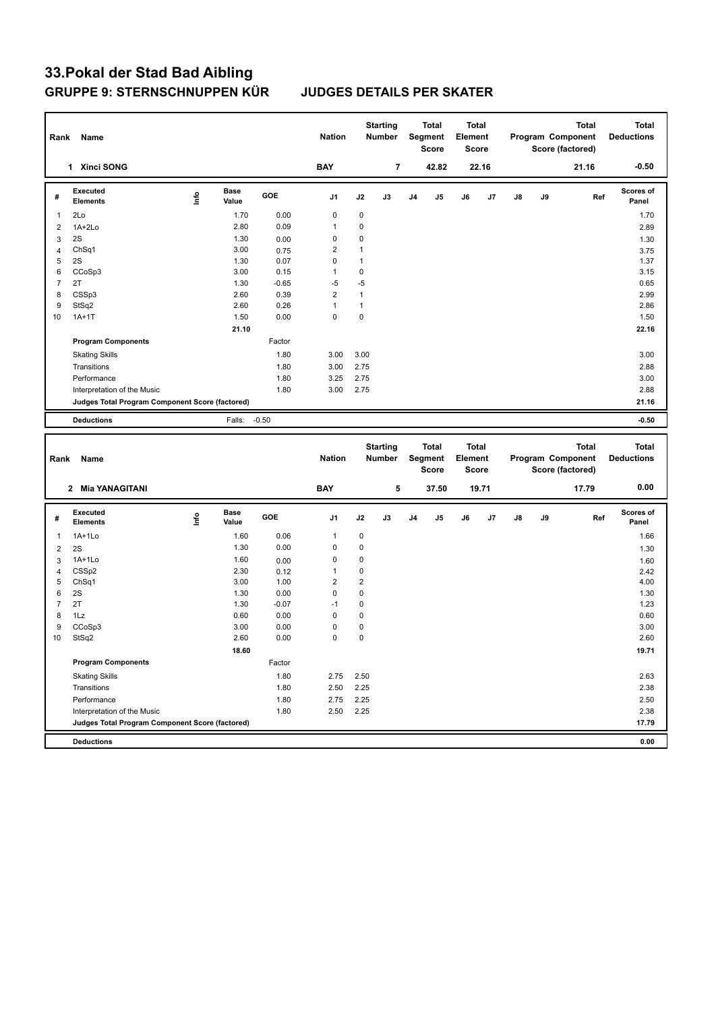| Rank           | Name                                            |      |                      |         | <b>Nation</b>  |                | <b>Starting</b><br><b>Number</b> |    | <b>Total</b><br>Segment<br><b>Score</b> | Total<br>Element<br><b>Score</b> |       |    |    | Program Component<br>Score (factored) | <b>Total</b> | <b>Total</b><br><b>Deductions</b> |
|----------------|-------------------------------------------------|------|----------------------|---------|----------------|----------------|----------------------------------|----|-----------------------------------------|----------------------------------|-------|----|----|---------------------------------------|--------------|-----------------------------------|
|                | 1 Xinci SONG                                    |      |                      |         | <b>BAY</b>     |                | $\overline{7}$                   |    | 42.82                                   |                                  | 22.16 |    |    |                                       | 21.16        | $-0.50$                           |
| #              | <b>Executed</b><br><b>Elements</b>              | lnfo | <b>Base</b><br>Value | GOE     | J <sub>1</sub> | J2             | J3                               | J4 | J5                                      | J6                               | J7    | J8 | J9 |                                       | Ref          | <b>Scores of</b><br>Panel         |
| $\mathbf{1}$   | 2Lo                                             |      | 1.70                 | 0.00    | $\mathbf 0$    | $\mathbf 0$    |                                  |    |                                         |                                  |       |    |    |                                       |              | 1.70                              |
| $\overline{2}$ | 1A+2Lo                                          |      | 2.80                 | 0.09    | $\mathbf{1}$   | 0              |                                  |    |                                         |                                  |       |    |    |                                       |              | 2.89                              |
| 3              | 2S                                              |      | 1.30                 | 0.00    | $\mathbf 0$    | 0              |                                  |    |                                         |                                  |       |    |    |                                       |              | 1.30                              |
| $\overline{4}$ | Ch <sub>Sq1</sub>                               |      | 3.00                 | 0.75    | $\overline{2}$ | $\mathbf{1}$   |                                  |    |                                         |                                  |       |    |    |                                       |              | 3.75                              |
| 5              | 2S                                              |      | 1.30                 | 0.07    | 0              | $\mathbf{1}$   |                                  |    |                                         |                                  |       |    |    |                                       |              | 1.37                              |
| 6              | CCoSp3                                          |      | 3.00                 | 0.15    | $\mathbf{1}$   | $\mathbf 0$    |                                  |    |                                         |                                  |       |    |    |                                       |              | 3.15                              |
| $\overline{7}$ | 2T                                              |      | 1.30                 | $-0.65$ | $-5$           | $-5$           |                                  |    |                                         |                                  |       |    |    |                                       |              | 0.65                              |
| 8              | CSSp3                                           |      | 2.60                 | 0.39    | $\overline{2}$ | $\mathbf{1}$   |                                  |    |                                         |                                  |       |    |    |                                       |              | 2.99                              |
| 9              | StSq2                                           |      | 2.60                 | 0.26    | $\mathbf{1}$   | $\mathbf{1}$   |                                  |    |                                         |                                  |       |    |    |                                       |              | 2.86                              |
| 10             | $1A+1T$                                         |      | 1.50                 | 0.00    | $\mathbf 0$    | $\pmb{0}$      |                                  |    |                                         |                                  |       |    |    |                                       |              | 1.50                              |
|                |                                                 |      | 21.10                |         |                |                |                                  |    |                                         |                                  |       |    |    |                                       |              | 22.16                             |
|                | <b>Program Components</b>                       |      |                      | Factor  |                |                |                                  |    |                                         |                                  |       |    |    |                                       |              |                                   |
|                | <b>Skating Skills</b>                           |      |                      | 1.80    | 3.00           | 3.00           |                                  |    |                                         |                                  |       |    |    |                                       |              | 3.00                              |
|                | Transitions                                     |      |                      | 1.80    | 3.00           | 2.75           |                                  |    |                                         |                                  |       |    |    |                                       |              | 2.88                              |
|                | Performance                                     |      |                      | 1.80    | 3.25           | 2.75           |                                  |    |                                         |                                  |       |    |    |                                       |              | 3.00                              |
|                | Interpretation of the Music                     |      |                      | 1.80    | 3.00           | 2.75           |                                  |    |                                         |                                  |       |    |    |                                       |              | 2.88                              |
|                | Judges Total Program Component Score (factored) |      |                      |         |                |                |                                  |    |                                         |                                  |       |    |    |                                       |              | 21.16                             |
|                |                                                 |      |                      |         |                |                |                                  |    |                                         |                                  |       |    |    |                                       |              |                                   |
|                | <b>Deductions</b>                               |      | Falls:               | $-0.50$ |                |                |                                  |    |                                         |                                  |       |    |    |                                       |              | $-0.50$                           |
|                |                                                 |      |                      |         |                |                |                                  |    |                                         |                                  |       |    |    |                                       |              |                                   |
|                |                                                 |      |                      |         |                |                |                                  |    |                                         |                                  |       |    |    |                                       |              |                                   |
|                |                                                 |      |                      |         |                |                | <b>Starting</b>                  |    | <b>Total</b>                            | <b>Total</b>                     |       |    |    |                                       | <b>Total</b> | <b>Total</b>                      |
| Rank           | Name                                            |      |                      |         | <b>Nation</b>  |                | Number                           |    | Segment                                 | Element                          |       |    |    | Program Component                     |              | <b>Deductions</b>                 |
|                |                                                 |      |                      |         |                |                |                                  |    | Score                                   | Score                            |       |    |    | Score (factored)                      |              |                                   |
|                | 2 Mia YANAGITANI                                |      |                      |         | <b>BAY</b>     |                | 5                                |    | 37.50                                   |                                  | 19.71 |    |    |                                       | 17.79        | 0.00                              |
|                | <b>Executed</b>                                 |      | <b>Base</b>          |         |                |                |                                  |    |                                         |                                  |       |    |    |                                       |              | <b>Scores of</b>                  |
| #              | <b>Elements</b>                                 | Info | Value                | GOE     | J1             | J2             | J3                               | J4 | J5                                      | J6                               | J7    | J8 | J9 |                                       | Ref          | Panel                             |
| 1              | $1A+1Lo$                                        |      | 1.60                 | 0.06    | 1              | $\pmb{0}$      |                                  |    |                                         |                                  |       |    |    |                                       |              | 1.66                              |
| $\overline{2}$ | 2S                                              |      | 1.30                 | 0.00    | 0              | $\pmb{0}$      |                                  |    |                                         |                                  |       |    |    |                                       |              | 1.30                              |
| 3              | 1A+1Lo                                          |      | 1.60                 | 0.00    | $\mathbf 0$    | 0              |                                  |    |                                         |                                  |       |    |    |                                       |              | 1.60                              |
| $\overline{4}$ | CSSp2                                           |      | 2.30                 | 0.12    | $\mathbf{1}$   | 0              |                                  |    |                                         |                                  |       |    |    |                                       |              | 2.42                              |
| 5              | ChSq1                                           |      | 3.00                 | 1.00    | $\overline{2}$ | $\overline{2}$ |                                  |    |                                         |                                  |       |    |    |                                       |              | 4.00                              |
| 6              | 2S                                              |      | 1.30                 | 0.00    | $\mathbf 0$    | $\mathbf 0$    |                                  |    |                                         |                                  |       |    |    |                                       |              | 1.30                              |
| $\overline{7}$ | 2T                                              |      | 1.30                 | $-0.07$ | $-1$           | 0              |                                  |    |                                         |                                  |       |    |    |                                       |              | 1.23                              |
| 8              | 1Lz                                             |      | 0.60                 | 0.00    | 0              | 0              |                                  |    |                                         |                                  |       |    |    |                                       |              | 0.60                              |
| 9              | CCoSp3                                          |      | 3.00                 | 0.00    | $\mathbf 0$    | 0              |                                  |    |                                         |                                  |       |    |    |                                       |              | 3.00                              |
| 10             | StSq2                                           |      | 2.60                 | 0.00    | $\mathbf 0$    | 0              |                                  |    |                                         |                                  |       |    |    |                                       |              | 2.60                              |
|                |                                                 |      | 18.60                |         |                |                |                                  |    |                                         |                                  |       |    |    |                                       |              | 19.71                             |
|                | <b>Program Components</b>                       |      |                      | Factor  |                |                |                                  |    |                                         |                                  |       |    |    |                                       |              |                                   |
|                | <b>Skating Skills</b>                           |      |                      | 1.80    | 2.75           | 2.50           |                                  |    |                                         |                                  |       |    |    |                                       |              | 2.63                              |
|                | Transitions                                     |      |                      | 1.80    | 2.50           | 2.25           |                                  |    |                                         |                                  |       |    |    |                                       |              | 2.38                              |
|                | Performance                                     |      |                      | 1.80    | 2.75           | 2.25           |                                  |    |                                         |                                  |       |    |    |                                       |              | 2.50                              |
|                | Interpretation of the Music                     |      |                      | 1.80    | 2.50           | 2.25           |                                  |    |                                         |                                  |       |    |    |                                       |              | 2.38                              |

**Deductions 0.00**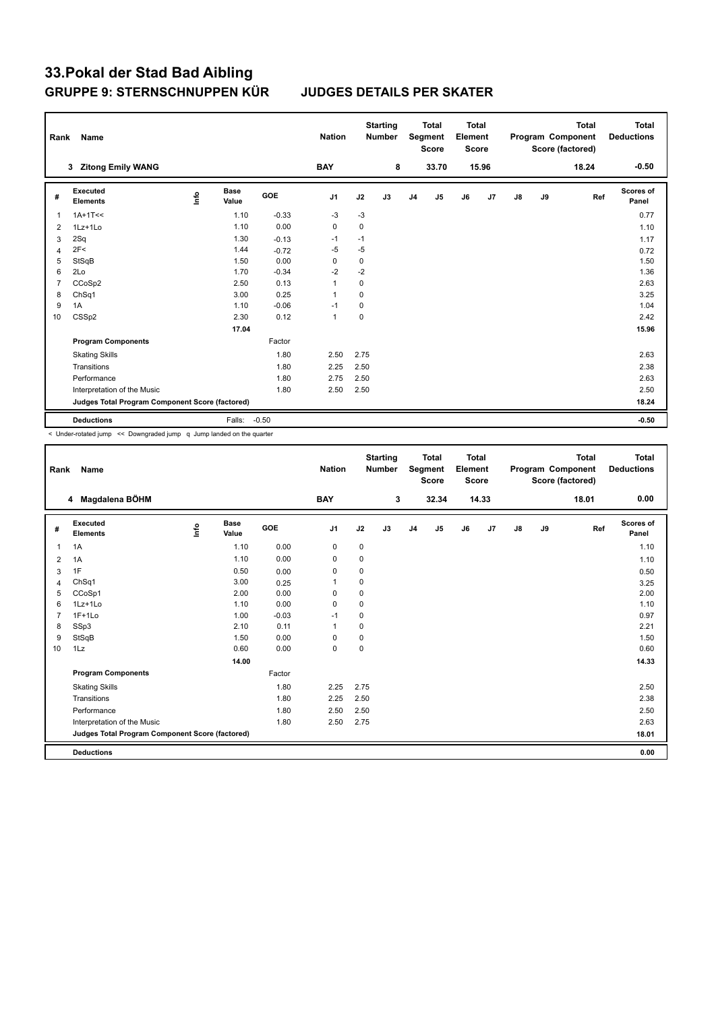| Rank           | Name                                            |      |                      |         | <b>Nation</b>  |      | <b>Starting</b><br><b>Number</b> |                | <b>Total</b><br>Segment<br><b>Score</b> | <b>Total</b><br>Element<br><b>Score</b> |                |    |    | <b>Total</b><br>Program Component<br>Score (factored) | <b>Total</b><br><b>Deductions</b> |
|----------------|-------------------------------------------------|------|----------------------|---------|----------------|------|----------------------------------|----------------|-----------------------------------------|-----------------------------------------|----------------|----|----|-------------------------------------------------------|-----------------------------------|
|                | 3 Zitong Emily WANG                             |      |                      |         | <b>BAY</b>     |      | 8                                |                | 33.70                                   |                                         | 15.96          |    |    | 18.24                                                 | $-0.50$                           |
| #              | <b>Executed</b><br><b>Elements</b>              | lnfo | <b>Base</b><br>Value | GOE     | J <sub>1</sub> | J2   | J3                               | J <sub>4</sub> | J5                                      | J6                                      | J <sub>7</sub> | J8 | J9 | Ref                                                   | Scores of<br>Panel                |
| 1              | $1A+1T<<$                                       |      | 1.10                 | $-0.33$ | $-3$           | $-3$ |                                  |                |                                         |                                         |                |    |    |                                                       | 0.77                              |
| $\overline{2}$ | 1Lz+1Lo                                         |      | 1.10                 | 0.00    | $\mathbf 0$    | 0    |                                  |                |                                         |                                         |                |    |    |                                                       | 1.10                              |
| 3              | 2Sq                                             |      | 1.30                 | $-0.13$ | $-1$           | $-1$ |                                  |                |                                         |                                         |                |    |    |                                                       | 1.17                              |
| $\overline{4}$ | 2F<                                             |      | 1.44                 | $-0.72$ | $-5$           | $-5$ |                                  |                |                                         |                                         |                |    |    |                                                       | 0.72                              |
| 5              | StSqB                                           |      | 1.50                 | 0.00    | $\Omega$       | 0    |                                  |                |                                         |                                         |                |    |    |                                                       | 1.50                              |
| 6              | 2Lo                                             |      | 1.70                 | $-0.34$ | $-2$           | $-2$ |                                  |                |                                         |                                         |                |    |    |                                                       | 1.36                              |
| 7              | CCoSp2                                          |      | 2.50                 | 0.13    | 1              | 0    |                                  |                |                                         |                                         |                |    |    |                                                       | 2.63                              |
| 8              | ChSq1                                           |      | 3.00                 | 0.25    | 1              | 0    |                                  |                |                                         |                                         |                |    |    |                                                       | 3.25                              |
| 9              | 1A                                              |      | 1.10                 | $-0.06$ | $-1$           | 0    |                                  |                |                                         |                                         |                |    |    |                                                       | 1.04                              |
| 10             | CSSp2                                           |      | 2.30                 | 0.12    | $\overline{1}$ | 0    |                                  |                |                                         |                                         |                |    |    |                                                       | 2.42                              |
|                |                                                 |      | 17.04                |         |                |      |                                  |                |                                         |                                         |                |    |    |                                                       | 15.96                             |
|                | <b>Program Components</b>                       |      |                      | Factor  |                |      |                                  |                |                                         |                                         |                |    |    |                                                       |                                   |
|                | <b>Skating Skills</b>                           |      |                      | 1.80    | 2.50           | 2.75 |                                  |                |                                         |                                         |                |    |    |                                                       | 2.63                              |
|                | Transitions                                     |      |                      | 1.80    | 2.25           | 2.50 |                                  |                |                                         |                                         |                |    |    |                                                       | 2.38                              |
|                | Performance                                     |      |                      | 1.80    | 2.75           | 2.50 |                                  |                |                                         |                                         |                |    |    |                                                       | 2.63                              |
|                | Interpretation of the Music                     |      |                      | 1.80    | 2.50           | 2.50 |                                  |                |                                         |                                         |                |    |    |                                                       | 2.50                              |
|                | Judges Total Program Component Score (factored) |      |                      |         |                |      |                                  |                |                                         |                                         |                |    |    |                                                       | 18.24                             |
|                | <b>Deductions</b>                               |      | Falls:               | $-0.50$ |                |      |                                  |                |                                         |                                         |                |    |    |                                                       | $-0.50$                           |

< Under-rotated jump << Downgraded jump q Jump landed on the quarter

| Rank           | Name                                            |      |                      |         | <b>Nation</b>  |             | <b>Starting</b><br><b>Number</b> |                | <b>Total</b><br>Segment<br><b>Score</b> | <b>Total</b><br>Element<br><b>Score</b> |                |    |    | <b>Total</b><br>Program Component<br>Score (factored) | Total<br><b>Deductions</b> |
|----------------|-------------------------------------------------|------|----------------------|---------|----------------|-------------|----------------------------------|----------------|-----------------------------------------|-----------------------------------------|----------------|----|----|-------------------------------------------------------|----------------------------|
|                | Magdalena BÖHM<br>4                             |      |                      |         | <b>BAY</b>     |             | 3                                |                | 32.34                                   |                                         | 14.33          |    |    | 18.01                                                 | 0.00                       |
| #              | Executed<br><b>Elements</b>                     | ١mfo | <b>Base</b><br>Value | GOE     | J <sub>1</sub> | J2          | J3                               | J <sub>4</sub> | J5                                      | J6                                      | J <sub>7</sub> | J8 | J9 | Ref                                                   | <b>Scores of</b><br>Panel  |
| $\overline{1}$ | 1A                                              |      | 1.10                 | 0.00    | $\pmb{0}$      | $\mathbf 0$ |                                  |                |                                         |                                         |                |    |    |                                                       | 1.10                       |
| 2              | 1A                                              |      | 1.10                 | 0.00    | $\pmb{0}$      | 0           |                                  |                |                                         |                                         |                |    |    |                                                       | 1.10                       |
| 3              | 1F                                              |      | 0.50                 | 0.00    | $\mathbf 0$    | 0           |                                  |                |                                         |                                         |                |    |    |                                                       | 0.50                       |
| $\overline{4}$ | ChSq1                                           |      | 3.00                 | 0.25    | $\overline{1}$ | 0           |                                  |                |                                         |                                         |                |    |    |                                                       | 3.25                       |
| 5              | CCoSp1                                          |      | 2.00                 | 0.00    | 0              | $\mathbf 0$ |                                  |                |                                         |                                         |                |    |    |                                                       | 2.00                       |
| 6              | 1Lz+1Lo                                         |      | 1.10                 | 0.00    | 0              | 0           |                                  |                |                                         |                                         |                |    |    |                                                       | 1.10                       |
| $\overline{7}$ | $1F+1Lo$                                        |      | 1.00                 | $-0.03$ | $-1$           | $\mathbf 0$ |                                  |                |                                         |                                         |                |    |    |                                                       | 0.97                       |
| 8              | SSp3                                            |      | 2.10                 | 0.11    | $\overline{1}$ | 0           |                                  |                |                                         |                                         |                |    |    |                                                       | 2.21                       |
| 9              | StSqB                                           |      | 1.50                 | 0.00    | 0              | $\pmb{0}$   |                                  |                |                                         |                                         |                |    |    |                                                       | 1.50                       |
| 10             | 1Lz                                             |      | 0.60                 | 0.00    | $\mathbf 0$    | $\mathbf 0$ |                                  |                |                                         |                                         |                |    |    |                                                       | 0.60                       |
|                |                                                 |      | 14.00                |         |                |             |                                  |                |                                         |                                         |                |    |    |                                                       | 14.33                      |
|                | <b>Program Components</b>                       |      |                      | Factor  |                |             |                                  |                |                                         |                                         |                |    |    |                                                       |                            |
|                | <b>Skating Skills</b>                           |      |                      | 1.80    | 2.25           | 2.75        |                                  |                |                                         |                                         |                |    |    |                                                       | 2.50                       |
|                | Transitions                                     |      |                      | 1.80    | 2.25           | 2.50        |                                  |                |                                         |                                         |                |    |    |                                                       | 2.38                       |
|                | Performance                                     |      |                      | 1.80    | 2.50           | 2.50        |                                  |                |                                         |                                         |                |    |    |                                                       | 2.50                       |
|                | Interpretation of the Music                     |      |                      | 1.80    | 2.50           | 2.75        |                                  |                |                                         |                                         |                |    |    |                                                       | 2.63                       |
|                | Judges Total Program Component Score (factored) |      |                      |         |                |             |                                  |                |                                         |                                         |                |    |    |                                                       | 18.01                      |
|                | <b>Deductions</b>                               |      |                      |         |                |             |                                  |                |                                         |                                         |                |    |    |                                                       | 0.00                       |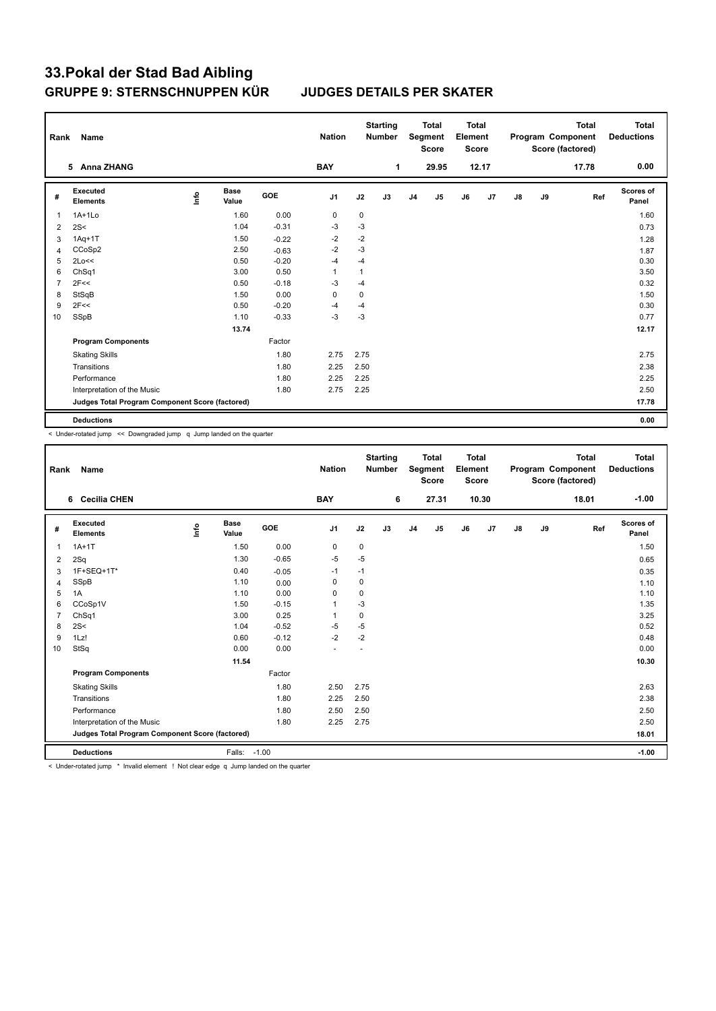| Rank           | Name                                            |      |                      |         | <b>Nation</b>  |              | <b>Starting</b><br><b>Number</b> |                | <b>Total</b><br>Segment<br><b>Score</b> | <b>Total</b><br>Element<br><b>Score</b> |       |               |    | <b>Total</b><br>Program Component<br>Score (factored) | <b>Total</b><br><b>Deductions</b> |
|----------------|-------------------------------------------------|------|----------------------|---------|----------------|--------------|----------------------------------|----------------|-----------------------------------------|-----------------------------------------|-------|---------------|----|-------------------------------------------------------|-----------------------------------|
|                | 5 Anna ZHANG                                    |      |                      |         | <b>BAY</b>     |              | 1                                |                | 29.95                                   |                                         | 12.17 |               |    | 17.78                                                 | 0.00                              |
| #              | <b>Executed</b><br><b>Elements</b>              | lnfo | <b>Base</b><br>Value | GOE     | J <sub>1</sub> | J2           | J3                               | J <sub>4</sub> | J <sub>5</sub>                          | J6                                      | J7    | $\mathsf{J}8$ | J9 | Ref                                                   | <b>Scores of</b><br>Panel         |
| 1              | $1A+1Lo$                                        |      | 1.60                 | 0.00    | 0              | $\pmb{0}$    |                                  |                |                                         |                                         |       |               |    |                                                       | 1.60                              |
| 2              | 2S<                                             |      | 1.04                 | $-0.31$ | $-3$           | $-3$         |                                  |                |                                         |                                         |       |               |    |                                                       | 0.73                              |
| 3              | $1Aq+1T$                                        |      | 1.50                 | $-0.22$ | $-2$           | $-2$         |                                  |                |                                         |                                         |       |               |    |                                                       | 1.28                              |
| $\overline{4}$ | CCoSp2                                          |      | 2.50                 | $-0.63$ | $-2$           | $-3$         |                                  |                |                                         |                                         |       |               |    |                                                       | 1.87                              |
| 5              | 2Lo<<                                           |      | 0.50                 | $-0.20$ | $-4$           | -4           |                                  |                |                                         |                                         |       |               |    |                                                       | 0.30                              |
| 6              | Ch <sub>Sq1</sub>                               |      | 3.00                 | 0.50    | $\mathbf{1}$   | $\mathbf{1}$ |                                  |                |                                         |                                         |       |               |    |                                                       | 3.50                              |
| $\overline{7}$ | 2F<<                                            |      | 0.50                 | $-0.18$ | $-3$           | $-4$         |                                  |                |                                         |                                         |       |               |    |                                                       | 0.32                              |
| 8              | StSqB                                           |      | 1.50                 | 0.00    | 0              | 0            |                                  |                |                                         |                                         |       |               |    |                                                       | 1.50                              |
| 9              | 2F<<                                            |      | 0.50                 | $-0.20$ | $-4$           | -4           |                                  |                |                                         |                                         |       |               |    |                                                       | 0.30                              |
| 10             | SSpB                                            |      | 1.10                 | $-0.33$ | $-3$           | $-3$         |                                  |                |                                         |                                         |       |               |    |                                                       | 0.77                              |
|                |                                                 |      | 13.74                |         |                |              |                                  |                |                                         |                                         |       |               |    |                                                       | 12.17                             |
|                | <b>Program Components</b>                       |      |                      | Factor  |                |              |                                  |                |                                         |                                         |       |               |    |                                                       |                                   |
|                | <b>Skating Skills</b>                           |      |                      | 1.80    | 2.75           | 2.75         |                                  |                |                                         |                                         |       |               |    |                                                       | 2.75                              |
|                | Transitions                                     |      |                      | 1.80    | 2.25           | 2.50         |                                  |                |                                         |                                         |       |               |    |                                                       | 2.38                              |
|                | Performance                                     |      |                      | 1.80    | 2.25           | 2.25         |                                  |                |                                         |                                         |       |               |    |                                                       | 2.25                              |
|                | Interpretation of the Music                     |      |                      | 1.80    | 2.75           | 2.25         |                                  |                |                                         |                                         |       |               |    |                                                       | 2.50                              |
|                | Judges Total Program Component Score (factored) |      |                      |         |                |              |                                  |                |                                         |                                         |       |               |    |                                                       | 17.78                             |
|                | <b>Deductions</b>                               |      |                      |         |                |              |                                  |                |                                         |                                         |       |               |    |                                                       | 0.00                              |

< Under-rotated jump << Downgraded jump q Jump landed on the quarter

| Rank           | Name                                            |      |                      |         | <b>Nation</b>  |             | <b>Starting</b><br><b>Number</b> |                | <b>Total</b><br>Segment<br><b>Score</b> | Total<br>Element<br><b>Score</b> |       |               |    | <b>Total</b><br>Program Component<br>Score (factored) | Total<br><b>Deductions</b> |
|----------------|-------------------------------------------------|------|----------------------|---------|----------------|-------------|----------------------------------|----------------|-----------------------------------------|----------------------------------|-------|---------------|----|-------------------------------------------------------|----------------------------|
|                | 6 Cecilia CHEN                                  |      |                      |         | <b>BAY</b>     |             | 6                                |                | 27.31                                   |                                  | 10.30 |               |    | 18.01                                                 | $-1.00$                    |
| #              | <b>Executed</b><br><b>Elements</b>              | Info | <b>Base</b><br>Value | GOE     | J <sub>1</sub> | J2          | J3                               | J <sub>4</sub> | J5                                      | J6                               | J7    | $\mathsf{J}8$ | J9 | Ref                                                   | <b>Scores of</b><br>Panel  |
| $\mathbf{1}$   | $1A+1T$                                         |      | 1.50                 | 0.00    | $\mathbf 0$    | 0           |                                  |                |                                         |                                  |       |               |    |                                                       | 1.50                       |
| 2              | 2Sq                                             |      | 1.30                 | $-0.65$ | $-5$           | $-5$        |                                  |                |                                         |                                  |       |               |    |                                                       | 0.65                       |
| 3              | 1F+SEQ+1T*                                      |      | 0.40                 | $-0.05$ | $-1$           | $-1$        |                                  |                |                                         |                                  |       |               |    |                                                       | 0.35                       |
| $\overline{4}$ | SSpB                                            |      | 1.10                 | 0.00    | $\mathbf 0$    | $\mathbf 0$ |                                  |                |                                         |                                  |       |               |    |                                                       | 1.10                       |
| 5              | 1A                                              |      | 1.10                 | 0.00    | 0              | 0           |                                  |                |                                         |                                  |       |               |    |                                                       | 1.10                       |
| 6              | CCoSp1V                                         |      | 1.50                 | $-0.15$ | 1              | $-3$        |                                  |                |                                         |                                  |       |               |    |                                                       | 1.35                       |
| $\overline{7}$ | ChSq1                                           |      | 3.00                 | 0.25    | 1              | $\mathbf 0$ |                                  |                |                                         |                                  |       |               |    |                                                       | 3.25                       |
| 8              | 2S<                                             |      | 1.04                 | $-0.52$ | $-5$           | $-5$        |                                  |                |                                         |                                  |       |               |    |                                                       | 0.52                       |
| 9              | 1Lz!                                            |      | 0.60                 | $-0.12$ | $-2$           | $-2$        |                                  |                |                                         |                                  |       |               |    |                                                       | 0.48                       |
| 10             | StSq                                            |      | 0.00                 | 0.00    | ÷              |             |                                  |                |                                         |                                  |       |               |    |                                                       | 0.00                       |
|                |                                                 |      | 11.54                |         |                |             |                                  |                |                                         |                                  |       |               |    |                                                       | 10.30                      |
|                | <b>Program Components</b>                       |      |                      | Factor  |                |             |                                  |                |                                         |                                  |       |               |    |                                                       |                            |
|                | <b>Skating Skills</b>                           |      |                      | 1.80    | 2.50           | 2.75        |                                  |                |                                         |                                  |       |               |    |                                                       | 2.63                       |
|                | Transitions                                     |      |                      | 1.80    | 2.25           | 2.50        |                                  |                |                                         |                                  |       |               |    |                                                       | 2.38                       |
|                | Performance                                     |      |                      | 1.80    | 2.50           | 2.50        |                                  |                |                                         |                                  |       |               |    |                                                       | 2.50                       |
|                | Interpretation of the Music                     |      |                      | 1.80    | 2.25           | 2.75        |                                  |                |                                         |                                  |       |               |    |                                                       | 2.50                       |
|                | Judges Total Program Component Score (factored) |      |                      |         |                |             |                                  |                |                                         |                                  |       |               |    |                                                       | 18.01                      |
|                | <b>Deductions</b>                               |      | Falls:               | $-1.00$ |                |             |                                  |                |                                         |                                  |       |               |    |                                                       | $-1.00$                    |

< Under-rotated jump \* Invalid element ! Not clear edge q Jump landed on the quarter